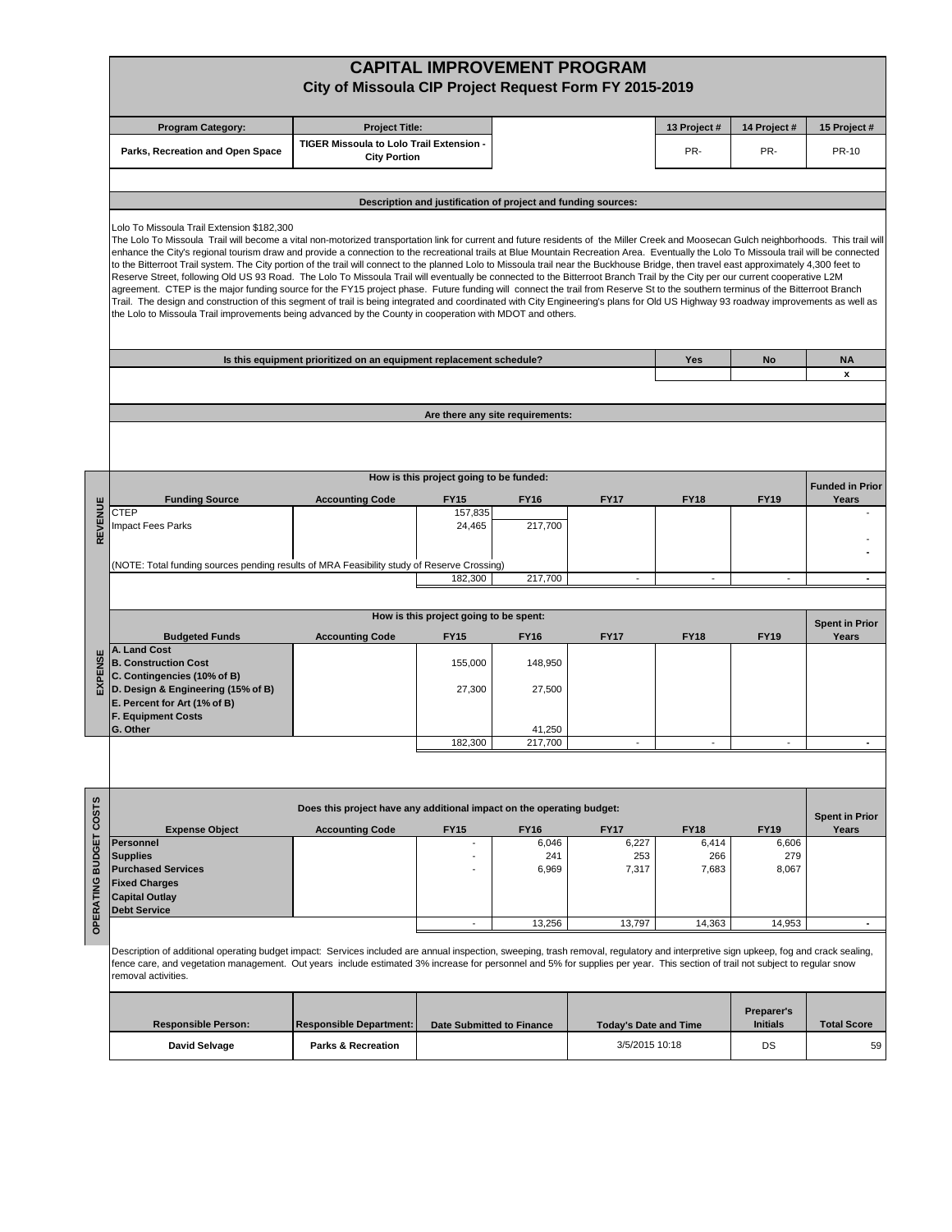|                     | <b>CAPITAL IMPROVEMENT PROGRAM</b>                                                                                                                                                                                                                                                                                                                                                                                                                                                                                                                                                                                                                                                                                                                                                                                                                                                                                                                                                                                                                                                                                                                                                                                                                   |                                                                       |                                         |                      |                      |                              |                      |                        |  |  |  |  |  |  |
|---------------------|------------------------------------------------------------------------------------------------------------------------------------------------------------------------------------------------------------------------------------------------------------------------------------------------------------------------------------------------------------------------------------------------------------------------------------------------------------------------------------------------------------------------------------------------------------------------------------------------------------------------------------------------------------------------------------------------------------------------------------------------------------------------------------------------------------------------------------------------------------------------------------------------------------------------------------------------------------------------------------------------------------------------------------------------------------------------------------------------------------------------------------------------------------------------------------------------------------------------------------------------------|-----------------------------------------------------------------------|-----------------------------------------|----------------------|----------------------|------------------------------|----------------------|------------------------|--|--|--|--|--|--|
|                     | City of Missoula CIP Project Request Form FY 2015-2019                                                                                                                                                                                                                                                                                                                                                                                                                                                                                                                                                                                                                                                                                                                                                                                                                                                                                                                                                                                                                                                                                                                                                                                               |                                                                       |                                         |                      |                      |                              |                      |                        |  |  |  |  |  |  |
|                     |                                                                                                                                                                                                                                                                                                                                                                                                                                                                                                                                                                                                                                                                                                                                                                                                                                                                                                                                                                                                                                                                                                                                                                                                                                                      |                                                                       |                                         |                      |                      |                              |                      |                        |  |  |  |  |  |  |
|                     | <b>Program Category:</b>                                                                                                                                                                                                                                                                                                                                                                                                                                                                                                                                                                                                                                                                                                                                                                                                                                                                                                                                                                                                                                                                                                                                                                                                                             | <b>Project Title:</b>                                                 |                                         |                      |                      | 13 Project #                 | 14 Project #         | 15 Project #           |  |  |  |  |  |  |
|                     | Parks, Recreation and Open Space                                                                                                                                                                                                                                                                                                                                                                                                                                                                                                                                                                                                                                                                                                                                                                                                                                                                                                                                                                                                                                                                                                                                                                                                                     | TIGER Missoula to Lolo Trail Extension -<br><b>City Portion</b>       |                                         |                      |                      | PR-                          | PR-                  | <b>PR-10</b>           |  |  |  |  |  |  |
|                     |                                                                                                                                                                                                                                                                                                                                                                                                                                                                                                                                                                                                                                                                                                                                                                                                                                                                                                                                                                                                                                                                                                                                                                                                                                                      |                                                                       |                                         |                      |                      |                              |                      |                        |  |  |  |  |  |  |
|                     | Description and justification of project and funding sources:                                                                                                                                                                                                                                                                                                                                                                                                                                                                                                                                                                                                                                                                                                                                                                                                                                                                                                                                                                                                                                                                                                                                                                                        |                                                                       |                                         |                      |                      |                              |                      |                        |  |  |  |  |  |  |
|                     | Lolo To Missoula Trail Extension \$182.300                                                                                                                                                                                                                                                                                                                                                                                                                                                                                                                                                                                                                                                                                                                                                                                                                                                                                                                                                                                                                                                                                                                                                                                                           |                                                                       |                                         |                      |                      |                              |                      |                        |  |  |  |  |  |  |
|                     | The Lolo To Missoula Trail will become a vital non-motorized transportation link for current and future residents of the Miller Creek and Moosecan Gulch neighborhoods. This trail will<br>enhance the City's regional tourism draw and provide a connection to the recreational trails at Blue Mountain Recreation Area. Eventually the Lolo To Missoula trail will be connected<br>to the Bitterroot Trail system. The City portion of the trail will connect to the planned Lolo to Missoula trail near the Buckhouse Bridge, then travel east approximately 4,300 feet to<br>Reserve Street, following Old US 93 Road. The Lolo To Missoula Trail will eventually be connected to the Bitterroot Branch Trail by the City per our current cooperative L2M<br>agreement. CTEP is the major funding source for the FY15 project phase. Future funding will connect the trail from Reserve St to the southern terminus of the Bitterroot Branch<br>Trail. The design and construction of this segment of trail is being integrated and coordinated with City Engineering's plans for Old US Highway 93 roadway improvements as well as<br>the Lolo to Missoula Trail improvements being advanced by the County in cooperation with MDOT and others. |                                                                       |                                         |                      |                      |                              |                      |                        |  |  |  |  |  |  |
|                     |                                                                                                                                                                                                                                                                                                                                                                                                                                                                                                                                                                                                                                                                                                                                                                                                                                                                                                                                                                                                                                                                                                                                                                                                                                                      |                                                                       |                                         |                      |                      |                              |                      |                        |  |  |  |  |  |  |
|                     |                                                                                                                                                                                                                                                                                                                                                                                                                                                                                                                                                                                                                                                                                                                                                                                                                                                                                                                                                                                                                                                                                                                                                                                                                                                      |                                                                       |                                         |                      |                      |                              |                      |                        |  |  |  |  |  |  |
|                     |                                                                                                                                                                                                                                                                                                                                                                                                                                                                                                                                                                                                                                                                                                                                                                                                                                                                                                                                                                                                                                                                                                                                                                                                                                                      |                                                                       |                                         |                      |                      |                              |                      |                        |  |  |  |  |  |  |
|                     |                                                                                                                                                                                                                                                                                                                                                                                                                                                                                                                                                                                                                                                                                                                                                                                                                                                                                                                                                                                                                                                                                                                                                                                                                                                      |                                                                       |                                         |                      |                      |                              |                      |                        |  |  |  |  |  |  |
|                     |                                                                                                                                                                                                                                                                                                                                                                                                                                                                                                                                                                                                                                                                                                                                                                                                                                                                                                                                                                                                                                                                                                                                                                                                                                                      |                                                                       |                                         |                      |                      |                              |                      |                        |  |  |  |  |  |  |
|                     | Is this equipment prioritized on an equipment replacement schedule?<br>Yes<br>No                                                                                                                                                                                                                                                                                                                                                                                                                                                                                                                                                                                                                                                                                                                                                                                                                                                                                                                                                                                                                                                                                                                                                                     |                                                                       |                                         |                      |                      |                              |                      |                        |  |  |  |  |  |  |
|                     |                                                                                                                                                                                                                                                                                                                                                                                                                                                                                                                                                                                                                                                                                                                                                                                                                                                                                                                                                                                                                                                                                                                                                                                                                                                      |                                                                       |                                         |                      |                      |                              |                      | <b>NA</b><br>x         |  |  |  |  |  |  |
|                     |                                                                                                                                                                                                                                                                                                                                                                                                                                                                                                                                                                                                                                                                                                                                                                                                                                                                                                                                                                                                                                                                                                                                                                                                                                                      |                                                                       |                                         |                      |                      |                              |                      |                        |  |  |  |  |  |  |
|                     |                                                                                                                                                                                                                                                                                                                                                                                                                                                                                                                                                                                                                                                                                                                                                                                                                                                                                                                                                                                                                                                                                                                                                                                                                                                      | Are there any site requirements:                                      |                                         |                      |                      |                              |                      |                        |  |  |  |  |  |  |
|                     |                                                                                                                                                                                                                                                                                                                                                                                                                                                                                                                                                                                                                                                                                                                                                                                                                                                                                                                                                                                                                                                                                                                                                                                                                                                      |                                                                       |                                         |                      |                      |                              |                      |                        |  |  |  |  |  |  |
|                     |                                                                                                                                                                                                                                                                                                                                                                                                                                                                                                                                                                                                                                                                                                                                                                                                                                                                                                                                                                                                                                                                                                                                                                                                                                                      |                                                                       |                                         |                      |                      |                              |                      |                        |  |  |  |  |  |  |
|                     |                                                                                                                                                                                                                                                                                                                                                                                                                                                                                                                                                                                                                                                                                                                                                                                                                                                                                                                                                                                                                                                                                                                                                                                                                                                      |                                                                       | How is this project going to be funded: |                      |                      |                              |                      | <b>Funded in Prior</b> |  |  |  |  |  |  |
|                     | <b>Funding Source</b>                                                                                                                                                                                                                                                                                                                                                                                                                                                                                                                                                                                                                                                                                                                                                                                                                                                                                                                                                                                                                                                                                                                                                                                                                                | <b>Accounting Code</b>                                                | <b>FY15</b>                             | <b>FY16</b>          | <b>FY17</b>          | <b>FY18</b>                  | <b>FY19</b>          | Years                  |  |  |  |  |  |  |
|                     | CTEP                                                                                                                                                                                                                                                                                                                                                                                                                                                                                                                                                                                                                                                                                                                                                                                                                                                                                                                                                                                                                                                                                                                                                                                                                                                 |                                                                       | 157,835                                 |                      |                      |                              |                      |                        |  |  |  |  |  |  |
| REVENUE             | Impact Fees Parks                                                                                                                                                                                                                                                                                                                                                                                                                                                                                                                                                                                                                                                                                                                                                                                                                                                                                                                                                                                                                                                                                                                                                                                                                                    |                                                                       | 24,465                                  | 217,700              |                      |                              |                      |                        |  |  |  |  |  |  |
|                     |                                                                                                                                                                                                                                                                                                                                                                                                                                                                                                                                                                                                                                                                                                                                                                                                                                                                                                                                                                                                                                                                                                                                                                                                                                                      |                                                                       |                                         |                      |                      |                              |                      |                        |  |  |  |  |  |  |
|                     | (NOTE: Total funding sources pending results of MRA Feasibility study of Reserve Crossing)                                                                                                                                                                                                                                                                                                                                                                                                                                                                                                                                                                                                                                                                                                                                                                                                                                                                                                                                                                                                                                                                                                                                                           |                                                                       | 182,300                                 | 217,700              |                      |                              |                      |                        |  |  |  |  |  |  |
|                     |                                                                                                                                                                                                                                                                                                                                                                                                                                                                                                                                                                                                                                                                                                                                                                                                                                                                                                                                                                                                                                                                                                                                                                                                                                                      |                                                                       |                                         |                      |                      |                              |                      |                        |  |  |  |  |  |  |
|                     | How is this project going to be spent:<br><b>Spent in Prior</b>                                                                                                                                                                                                                                                                                                                                                                                                                                                                                                                                                                                                                                                                                                                                                                                                                                                                                                                                                                                                                                                                                                                                                                                      |                                                                       |                                         |                      |                      |                              |                      |                        |  |  |  |  |  |  |
|                     | <b>Budgeted Funds</b>                                                                                                                                                                                                                                                                                                                                                                                                                                                                                                                                                                                                                                                                                                                                                                                                                                                                                                                                                                                                                                                                                                                                                                                                                                | <b>Accounting Code</b>                                                | <b>FY15</b>                             | <b>FY16</b>          | <b>FY17</b>          | <b>FY18</b>                  | <b>FY19</b>          | Years                  |  |  |  |  |  |  |
| щ                   | A. Land Cost<br><b>B. Construction Cost</b>                                                                                                                                                                                                                                                                                                                                                                                                                                                                                                                                                                                                                                                                                                                                                                                                                                                                                                                                                                                                                                                                                                                                                                                                          |                                                                       | 155,000                                 | 148,950              |                      |                              |                      |                        |  |  |  |  |  |  |
| PENSI               | C. Contingencies (10% of B)                                                                                                                                                                                                                                                                                                                                                                                                                                                                                                                                                                                                                                                                                                                                                                                                                                                                                                                                                                                                                                                                                                                                                                                                                          |                                                                       |                                         |                      |                      |                              |                      |                        |  |  |  |  |  |  |
| 찑                   | D. Design & Engineering (15% of B)<br>E. Percent for Art (1% of B)                                                                                                                                                                                                                                                                                                                                                                                                                                                                                                                                                                                                                                                                                                                                                                                                                                                                                                                                                                                                                                                                                                                                                                                   |                                                                       | 27,300                                  | 27,500               |                      |                              |                      |                        |  |  |  |  |  |  |
|                     | <b>F. Equipment Costs</b>                                                                                                                                                                                                                                                                                                                                                                                                                                                                                                                                                                                                                                                                                                                                                                                                                                                                                                                                                                                                                                                                                                                                                                                                                            |                                                                       |                                         |                      |                      |                              |                      |                        |  |  |  |  |  |  |
|                     | G. Other                                                                                                                                                                                                                                                                                                                                                                                                                                                                                                                                                                                                                                                                                                                                                                                                                                                                                                                                                                                                                                                                                                                                                                                                                                             |                                                                       | 182,300                                 | 41,250<br>217,700    |                      |                              |                      |                        |  |  |  |  |  |  |
|                     |                                                                                                                                                                                                                                                                                                                                                                                                                                                                                                                                                                                                                                                                                                                                                                                                                                                                                                                                                                                                                                                                                                                                                                                                                                                      |                                                                       |                                         |                      |                      |                              |                      |                        |  |  |  |  |  |  |
|                     |                                                                                                                                                                                                                                                                                                                                                                                                                                                                                                                                                                                                                                                                                                                                                                                                                                                                                                                                                                                                                                                                                                                                                                                                                                                      |                                                                       |                                         |                      |                      |                              |                      |                        |  |  |  |  |  |  |
|                     |                                                                                                                                                                                                                                                                                                                                                                                                                                                                                                                                                                                                                                                                                                                                                                                                                                                                                                                                                                                                                                                                                                                                                                                                                                                      |                                                                       |                                         |                      |                      |                              |                      |                        |  |  |  |  |  |  |
| <b>BUDGET COSTS</b> |                                                                                                                                                                                                                                                                                                                                                                                                                                                                                                                                                                                                                                                                                                                                                                                                                                                                                                                                                                                                                                                                                                                                                                                                                                                      | Does this project have any additional impact on the operating budget: |                                         |                      |                      |                              |                      | <b>Spent in Prior</b>  |  |  |  |  |  |  |
|                     | <b>Expense Object</b><br>Personnel                                                                                                                                                                                                                                                                                                                                                                                                                                                                                                                                                                                                                                                                                                                                                                                                                                                                                                                                                                                                                                                                                                                                                                                                                   | <b>Accounting Code</b>                                                | <b>FY15</b>                             | <b>FY16</b><br>6,046 | <b>FY17</b><br>6,227 | <b>FY18</b><br>6,414         | <b>FY19</b><br>6,606 | Years                  |  |  |  |  |  |  |
|                     | <b>Supplies</b>                                                                                                                                                                                                                                                                                                                                                                                                                                                                                                                                                                                                                                                                                                                                                                                                                                                                                                                                                                                                                                                                                                                                                                                                                                      |                                                                       |                                         | 241                  | 253                  | 266                          | 279                  |                        |  |  |  |  |  |  |
|                     | <b>Purchased Services</b>                                                                                                                                                                                                                                                                                                                                                                                                                                                                                                                                                                                                                                                                                                                                                                                                                                                                                                                                                                                                                                                                                                                                                                                                                            |                                                                       |                                         | 6,969                | 7,317                | 7,683                        | 8,067                |                        |  |  |  |  |  |  |
|                     | <b>Fixed Charges</b><br><b>Capital Outlay</b>                                                                                                                                                                                                                                                                                                                                                                                                                                                                                                                                                                                                                                                                                                                                                                                                                                                                                                                                                                                                                                                                                                                                                                                                        |                                                                       |                                         |                      |                      |                              |                      |                        |  |  |  |  |  |  |
| OPERATING           | <b>Debt Service</b>                                                                                                                                                                                                                                                                                                                                                                                                                                                                                                                                                                                                                                                                                                                                                                                                                                                                                                                                                                                                                                                                                                                                                                                                                                  |                                                                       |                                         |                      |                      |                              |                      |                        |  |  |  |  |  |  |
|                     |                                                                                                                                                                                                                                                                                                                                                                                                                                                                                                                                                                                                                                                                                                                                                                                                                                                                                                                                                                                                                                                                                                                                                                                                                                                      |                                                                       |                                         | 13,256               | 13,797               | 14,363                       | 14,953               |                        |  |  |  |  |  |  |
|                     | Description of additional operating budget impact: Services included are annual inspection, sweeping, trash removal, regulatory and interpretive sign upkeep, fog and crack sealing,                                                                                                                                                                                                                                                                                                                                                                                                                                                                                                                                                                                                                                                                                                                                                                                                                                                                                                                                                                                                                                                                 |                                                                       |                                         |                      |                      |                              |                      |                        |  |  |  |  |  |  |
|                     | fence care, and vegetation management. Out years include estimated 3% increase for personnel and 5% for supplies per year. This section of trail not subject to regular snow<br>removal activities.                                                                                                                                                                                                                                                                                                                                                                                                                                                                                                                                                                                                                                                                                                                                                                                                                                                                                                                                                                                                                                                  |                                                                       |                                         |                      |                      |                              |                      |                        |  |  |  |  |  |  |
|                     |                                                                                                                                                                                                                                                                                                                                                                                                                                                                                                                                                                                                                                                                                                                                                                                                                                                                                                                                                                                                                                                                                                                                                                                                                                                      |                                                                       |                                         |                      |                      |                              |                      |                        |  |  |  |  |  |  |
|                     |                                                                                                                                                                                                                                                                                                                                                                                                                                                                                                                                                                                                                                                                                                                                                                                                                                                                                                                                                                                                                                                                                                                                                                                                                                                      |                                                                       |                                         |                      |                      |                              | Preparer's           |                        |  |  |  |  |  |  |
|                     | <b>Responsible Person:</b>                                                                                                                                                                                                                                                                                                                                                                                                                                                                                                                                                                                                                                                                                                                                                                                                                                                                                                                                                                                                                                                                                                                                                                                                                           | <b>Responsible Department:</b>                                        | <b>Date Submitted to Finance</b>        |                      |                      | <b>Today's Date and Time</b> | <b>Initials</b>      | <b>Total Score</b>     |  |  |  |  |  |  |
|                     | <b>David Selvage</b>                                                                                                                                                                                                                                                                                                                                                                                                                                                                                                                                                                                                                                                                                                                                                                                                                                                                                                                                                                                                                                                                                                                                                                                                                                 | <b>Parks &amp; Recreation</b>                                         |                                         |                      | 3/5/2015 10:18       |                              | DS                   | 59                     |  |  |  |  |  |  |
|                     |                                                                                                                                                                                                                                                                                                                                                                                                                                                                                                                                                                                                                                                                                                                                                                                                                                                                                                                                                                                                                                                                                                                                                                                                                                                      |                                                                       |                                         |                      |                      |                              |                      |                        |  |  |  |  |  |  |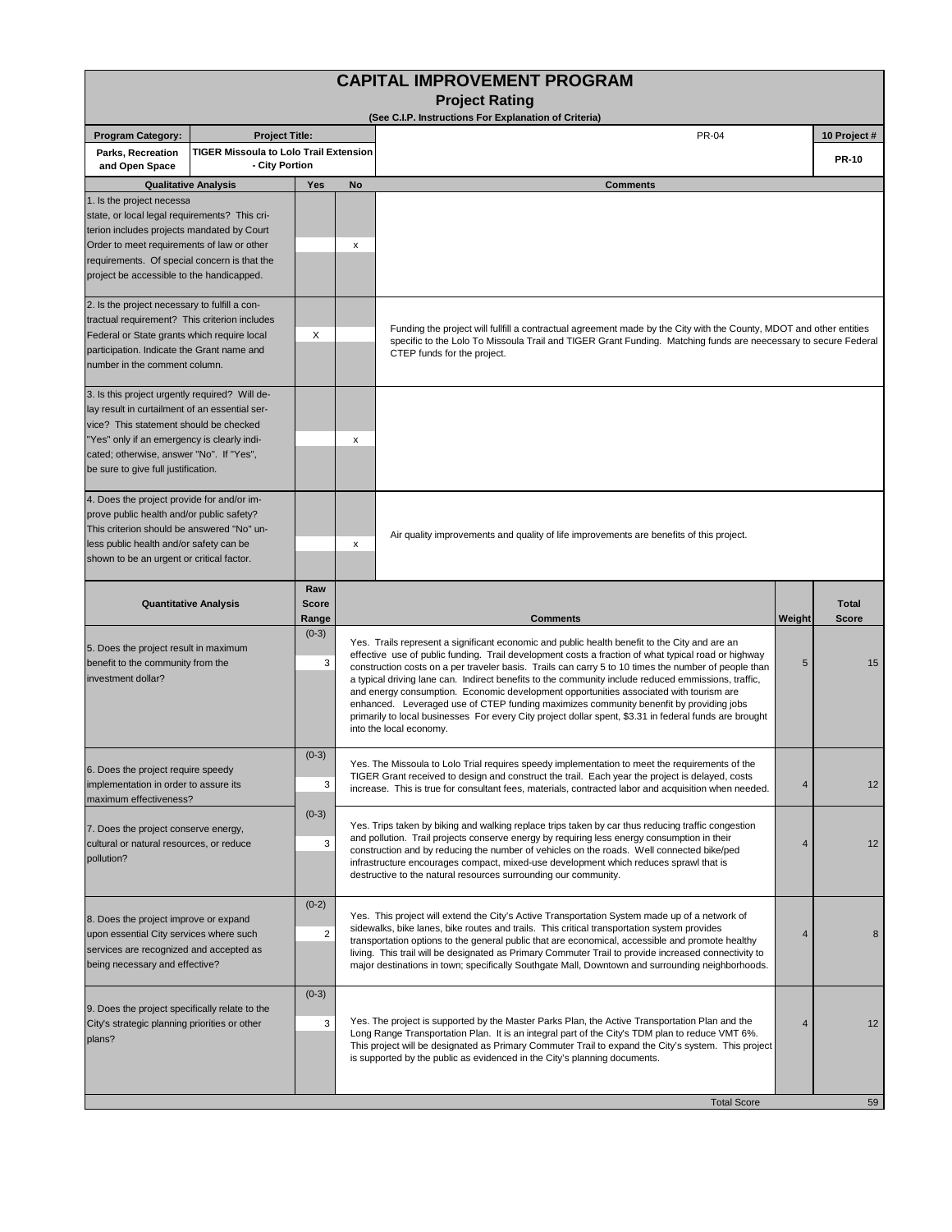| <b>CAPITAL IMPROVEMENT PROGRAM</b><br><b>Project Rating</b><br>(See C.I.P. Instructions For Explanation of Criteria)                                                                                                                                                         |                                                          |                                                                                                                                                                                                                                                                                                                                                                                       |                                                                                                                                                                                                                                                                                                                                                                                                                                                                                                                                                                                                                                                                                                                                                   |                                                                                                                                                                                                                                                                       |        |                              |  |  |  |  |  |
|------------------------------------------------------------------------------------------------------------------------------------------------------------------------------------------------------------------------------------------------------------------------------|----------------------------------------------------------|---------------------------------------------------------------------------------------------------------------------------------------------------------------------------------------------------------------------------------------------------------------------------------------------------------------------------------------------------------------------------------------|---------------------------------------------------------------------------------------------------------------------------------------------------------------------------------------------------------------------------------------------------------------------------------------------------------------------------------------------------------------------------------------------------------------------------------------------------------------------------------------------------------------------------------------------------------------------------------------------------------------------------------------------------------------------------------------------------------------------------------------------------|-----------------------------------------------------------------------------------------------------------------------------------------------------------------------------------------------------------------------------------------------------------------------|--------|------------------------------|--|--|--|--|--|
| <b>Program Category:</b><br><b>Project Title:</b>                                                                                                                                                                                                                            |                                                          |                                                                                                                                                                                                                                                                                                                                                                                       |                                                                                                                                                                                                                                                                                                                                                                                                                                                                                                                                                                                                                                                                                                                                                   | <b>PR-04</b>                                                                                                                                                                                                                                                          |        | 10 Project #                 |  |  |  |  |  |
| Parks, Recreation<br>and Open Space                                                                                                                                                                                                                                          | TIGER Missoula to Lolo Trail Extension<br>- City Portion |                                                                                                                                                                                                                                                                                                                                                                                       |                                                                                                                                                                                                                                                                                                                                                                                                                                                                                                                                                                                                                                                                                                                                                   |                                                                                                                                                                                                                                                                       |        | <b>PR-10</b>                 |  |  |  |  |  |
|                                                                                                                                                                                                                                                                              | <b>Qualitative Analysis</b>                              | Yes                                                                                                                                                                                                                                                                                                                                                                                   | No                                                                                                                                                                                                                                                                                                                                                                                                                                                                                                                                                                                                                                                                                                                                                | <b>Comments</b>                                                                                                                                                                                                                                                       |        |                              |  |  |  |  |  |
| 1. Is the project necessa<br>state, or local legal requirements? This cri-<br>terion includes projects mandated by Court<br>Order to meet requirements of law or other<br>requirements. Of special concern is that the<br>project be accessible to the handicapped.          |                                                          | x                                                                                                                                                                                                                                                                                                                                                                                     |                                                                                                                                                                                                                                                                                                                                                                                                                                                                                                                                                                                                                                                                                                                                                   |                                                                                                                                                                                                                                                                       |        |                              |  |  |  |  |  |
| 2. Is the project necessary to fulfill a con-<br>tractual requirement? This criterion includes<br>Federal or State grants which require local<br>participation. Indicate the Grant name and<br>number in the comment column.                                                 |                                                          | X                                                                                                                                                                                                                                                                                                                                                                                     |                                                                                                                                                                                                                                                                                                                                                                                                                                                                                                                                                                                                                                                                                                                                                   | Funding the project will fullfill a contractual agreement made by the City with the County, MDOT and other entities<br>specific to the Lolo To Missoula Trail and TIGER Grant Funding. Matching funds are neecessary to secure Federal<br>CTEP funds for the project. |        |                              |  |  |  |  |  |
| 3. Is this project urgently required? Will de-<br>lay result in curtailment of an essential ser-<br>vice? This statement should be checked<br>'Yes" only if an emergency is clearly indi-<br>cated; otherwise, answer "No". If "Yes",<br>be sure to give full justification. |                                                          |                                                                                                                                                                                                                                                                                                                                                                                       | х                                                                                                                                                                                                                                                                                                                                                                                                                                                                                                                                                                                                                                                                                                                                                 |                                                                                                                                                                                                                                                                       |        |                              |  |  |  |  |  |
| 4. Does the project provide for and/or im-<br>prove public health and/or public safety?<br>This criterion should be answered "No" un-<br>less public health and/or safety can be<br>shown to be an urgent or critical factor.                                                |                                                          |                                                                                                                                                                                                                                                                                                                                                                                       | x                                                                                                                                                                                                                                                                                                                                                                                                                                                                                                                                                                                                                                                                                                                                                 | Air quality improvements and quality of life improvements are benefits of this project.                                                                                                                                                                               |        |                              |  |  |  |  |  |
| <b>Quantitative Analysis</b>                                                                                                                                                                                                                                                 |                                                          | Raw<br><b>Score</b><br>Range                                                                                                                                                                                                                                                                                                                                                          |                                                                                                                                                                                                                                                                                                                                                                                                                                                                                                                                                                                                                                                                                                                                                   | <b>Comments</b>                                                                                                                                                                                                                                                       | Weight | <b>Total</b><br><b>Score</b> |  |  |  |  |  |
| 5. Does the project result in maximum<br>benefit to the community from the<br>investment dollar?                                                                                                                                                                             |                                                          | $(0-3)$<br>3                                                                                                                                                                                                                                                                                                                                                                          | Yes. Trails represent a significant economic and public health benefit to the City and are an<br>effective use of public funding. Trail development costs a fraction of what typical road or highway<br>5<br>construction costs on a per traveler basis. Trails can carry 5 to 10 times the number of people than<br>a typical driving lane can. Indirect benefits to the community include reduced emmissions, traffic,<br>and energy consumption. Economic development opportunities associated with tourism are<br>enhanced. Leveraged use of CTEP funding maximizes community benenfit by providing jobs<br>primarily to local businesses For every City project dollar spent, \$3.31 in federal funds are brought<br>into the local economy. |                                                                                                                                                                                                                                                                       |        | 15                           |  |  |  |  |  |
| 6. Does the project require speedy<br>implementation in order to assure its<br>maximum effectiveness?                                                                                                                                                                        |                                                          | $(0-3)$<br>3                                                                                                                                                                                                                                                                                                                                                                          | Yes. The Missoula to Lolo Trial requires speedy implementation to meet the requirements of the<br>TIGER Grant received to design and construct the trail. Each year the project is delayed, costs<br>4<br>increase. This is true for consultant fees, materials, contracted labor and acquisition when needed.                                                                                                                                                                                                                                                                                                                                                                                                                                    |                                                                                                                                                                                                                                                                       |        |                              |  |  |  |  |  |
| 7. Does the project conserve energy,<br>cultural or natural resources, or reduce<br>pollution?                                                                                                                                                                               |                                                          | $(0-3)$<br>3                                                                                                                                                                                                                                                                                                                                                                          | Yes. Trips taken by biking and walking replace trips taken by car thus reducing traffic congestion<br>and pollution. Trail projects conserve energy by requiring less energy consumption in their<br>4<br>construction and by reducing the number of vehicles on the roads. Well connected bike/ped<br>infrastructure encourages compact, mixed-use development which reduces sprawl that is<br>destructive to the natural resources surrounding our community.                                                                                                                                                                                                                                                                                   |                                                                                                                                                                                                                                                                       |        |                              |  |  |  |  |  |
| $(0-2)$<br>8. Does the project improve or expand<br>upon essential City services where such<br>2<br>services are recognized and accepted as<br>being necessary and effective?                                                                                                |                                                          |                                                                                                                                                                                                                                                                                                                                                                                       | Yes. This project will extend the City's Active Transportation System made up of a network of<br>sidewalks, bike lanes, bike routes and trails. This critical transportation system provides<br>transportation options to the general public that are economical, accessible and promote healthy<br>living. This trail will be designated as Primary Commuter Trail to provide increased connectivity to<br>major destinations in town; specifically Southgate Mall, Downtown and surrounding neighborhoods.                                                                                                                                                                                                                                      | 4                                                                                                                                                                                                                                                                     | 8      |                              |  |  |  |  |  |
| 9. Does the project specifically relate to the<br>City's strategic planning priorities or other<br>plans?                                                                                                                                                                    | $(0-3)$<br>3                                             | Yes. The project is supported by the Master Parks Plan, the Active Transportation Plan and the<br>Long Range Transportation Plan. It is an integral part of the City's TDM plan to reduce VMT 6%.<br>This project will be designated as Primary Commuter Trail to expand the City's system. This project<br>is supported by the public as evidenced in the City's planning documents. | 4                                                                                                                                                                                                                                                                                                                                                                                                                                                                                                                                                                                                                                                                                                                                                 | 12                                                                                                                                                                                                                                                                    |        |                              |  |  |  |  |  |
|                                                                                                                                                                                                                                                                              |                                                          |                                                                                                                                                                                                                                                                                                                                                                                       |                                                                                                                                                                                                                                                                                                                                                                                                                                                                                                                                                                                                                                                                                                                                                   | <b>Total Score</b>                                                                                                                                                                                                                                                    |        | 59                           |  |  |  |  |  |